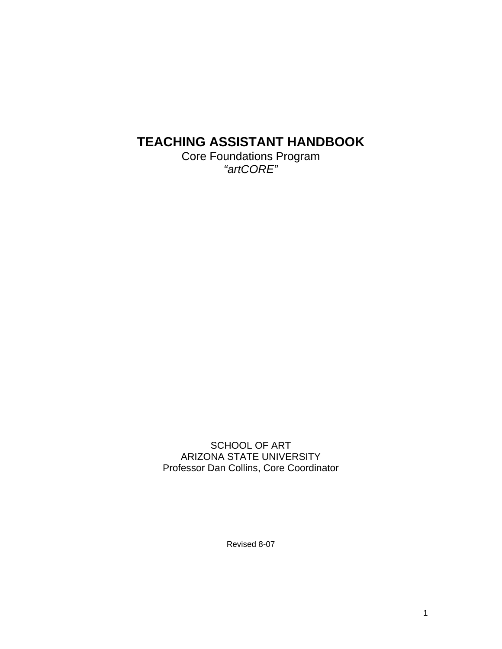# **TEACHING ASSISTANT HANDBOOK**

Core Foundations Program *"artCORE"* 

SCHOOL OF ART ARIZONA STATE UNIVERSITY Professor Dan Collins, Core Coordinator

Revised 8-07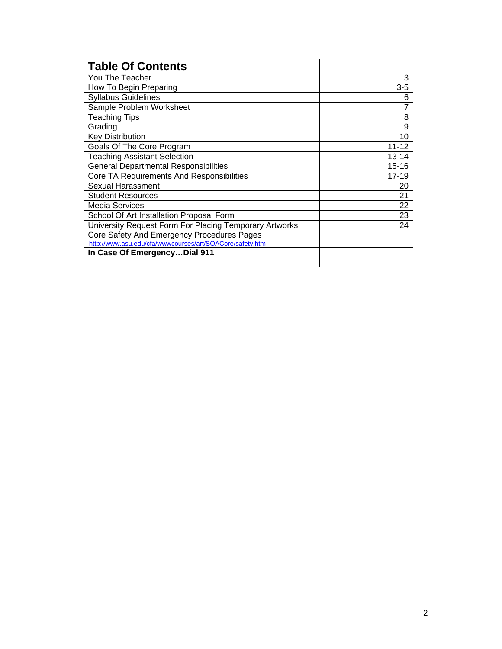| <b>Table Of Contents</b>                                 |           |
|----------------------------------------------------------|-----------|
| You The Teacher                                          | 3         |
| How To Begin Preparing                                   | $3 - 5$   |
| <b>Syllabus Guidelines</b>                               | 6         |
| Sample Problem Worksheet                                 |           |
| <b>Teaching Tips</b>                                     | 8         |
| Grading                                                  | 9         |
| <b>Key Distribution</b>                                  | 10        |
| Goals Of The Core Program                                | $11 - 12$ |
| <b>Teaching Assistant Selection</b>                      | $13 - 14$ |
| <b>General Departmental Responsibilities</b>             | 15-16     |
| Core TA Requirements And Responsibilities                | $17 - 19$ |
| <b>Sexual Harassment</b>                                 | 20        |
| <b>Student Resources</b>                                 | 21        |
| Media Services                                           | 22        |
| School Of Art Installation Proposal Form                 | 23        |
| University Request Form For Placing Temporary Artworks   | 24        |
| Core Safety And Emergency Procedures Pages               |           |
| http://www.asu.edu/cfa/wwwcourses/art/SOACore/safety.htm |           |
| In Case Of EmergencyDial 911                             |           |
|                                                          |           |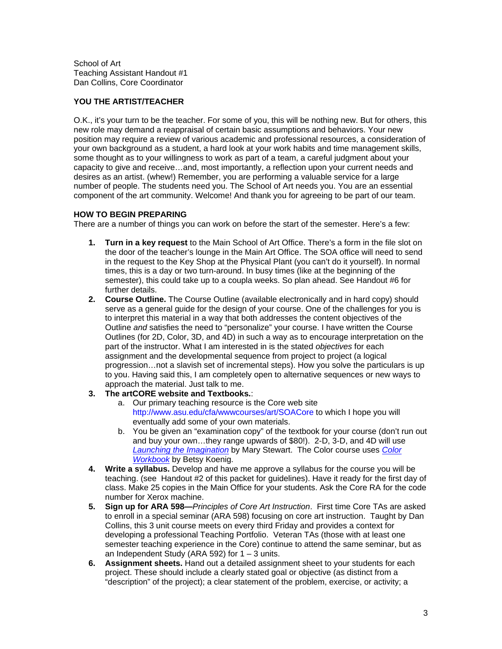School of Art Teaching Assistant Handout #1 Dan Collins, Core Coordinator

# **YOU THE ARTIST/TEACHER**

O.K., it's your turn to be the teacher. For some of you, this will be nothing new. But for others, this new role may demand a reappraisal of certain basic assumptions and behaviors. Your new position may require a review of various academic and professional resources, a consideration of your own background as a student, a hard look at your work habits and time management skills, some thought as to your willingness to work as part of a team, a careful judgment about your capacity to give and receive…and, most importantly, a reflection upon your current needs and desires as an artist. (whew!) Remember, you are performing a valuable service for a large number of people. The students need you. The School of Art needs you. You are an essential component of the art community. Welcome! And thank you for agreeing to be part of our team.

## **HOW TO BEGIN PREPARING**

There are a number of things you can work on before the start of the semester. Here's a few:

- **1. Turn in a key request** to the Main School of Art Office. There's a form in the file slot on the door of the teacher's lounge in the Main Art Office. The SOA office will need to send in the request to the Key Shop at the Physical Plant (you can't do it yourself). In normal times, this is a day or two turn-around. In busy times (like at the beginning of the semester), this could take up to a coupla weeks. So plan ahead. See Handout #6 for further details.
- **2. Course Outline.** The Course Outline (available electronically and in hard copy) should serve as a general guide for the design of your course. One of the challenges for you is to interpret this material in a way that both addresses the content objectives of the Outline *and* satisfies the need to "personalize" your course. I have written the Course Outlines (for 2D, Color, 3D, and 4D) in such a way as to encourage interpretation on the part of the instructor. What I am interested in is the stated *objectives* for each assignment and the developmental sequence from project to project (a logical progression…not a slavish set of incremental steps). How you solve the particulars is up to you. Having said this, I am completely open to alternative sequences or new ways to approach the material. Just talk to me.
- **3. The artCORE website and Textbooks.**:
	- a. Our primary teaching resource is the Core web site http://www.asu.edu/cfa/wwwcourses/art/SOACore to which I hope you will eventually add some of your own materials.
	- b. You be given an "examination copy" of the textbook for your course (don't run out and buy your own…they range upwards of \$80!). 2-D, 3-D, and 4D will use *Launching [the Imagination](http://www.amazon.com/Launching-Imagination-Comprehensive-Concepts-CD-ROM/dp/0072878738/ref=pd_bbs_sr_1/103-8450523-8791857?ie=UTF8&s=books&qid=1187898057&sr=8-1)* by Mary Stewart. The Color course uses *[Color](http://www.amazon.com/Color-Workbook-2nd-Becky-Koenig/dp/0131955772/ref=pd_bbs_sr_1/103-8450523-8791857?ie=UTF8&s=books&qid=1187898166&sr=1-1)  [Workbook](http://www.amazon.com/Color-Workbook-2nd-Becky-Koenig/dp/0131955772/ref=pd_bbs_sr_1/103-8450523-8791857?ie=UTF8&s=books&qid=1187898166&sr=1-1)* by Betsy Koenig.
- **4. Write a syllabus.** Develop and have me approve a syllabus for the course you will be teaching. (see Handout #2 of this packet for guidelines). Have it ready for the first day of class. Make 25 copies in the Main Office for your students. Ask the Core RA for the code number for Xerox machine.
- **5. Sign up for ARA 598—***Principles of Core Art Instruction*. First time Core TAs are asked to enroll in a special seminar (ARA 598) focusing on core art instruction. Taught by Dan Collins, this 3 unit course meets on every third Friday and provides a context for developing a professional Teaching Portfolio. Veteran TAs (those with at least one semester teaching experience in the Core) continue to attend the same seminar, but as an Independent Study (ARA 592) for  $1 - 3$  units.
- **6. Assignment sheets.** Hand out a detailed assignment sheet to your students for each project. These should include a clearly stated goal or objective (as distinct from a "description" of the project); a clear statement of the problem, exercise, or activity; a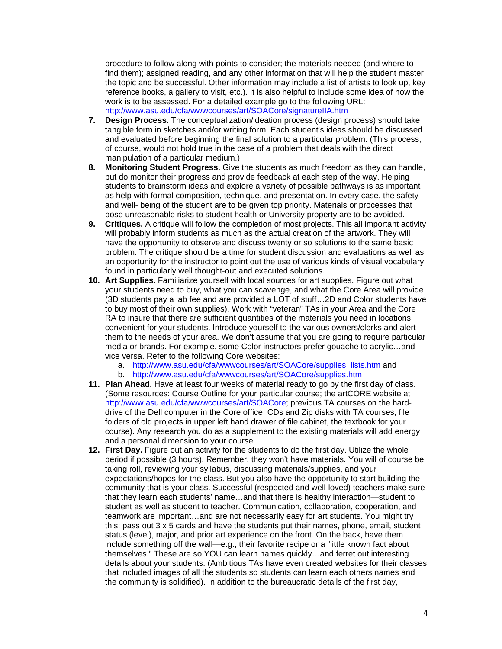procedure to follow along with points to consider; the materials needed (and where to find them); assigned reading, and any other information that will help the student master the topic and be successful. Other information may include a list of artists to look up, key reference books, a gallery to visit, etc.). It is also helpful to include some idea of how the work is to be assessed. For a detailed example go to the following URL: <http://www.asu.edu/cfa/wwwcourses/art/SOACore/signatureIIA.htm>

- **7. Design Process.** The conceptualization/ideation process (design process) should take tangible form in sketches and/or writing form. Each student's ideas should be discussed and evaluated before beginning the final solution to a particular problem. (This process, of course, would not hold true in the case of a problem that deals with the direct manipulation of a particular medium.)
- **8. Monitoring Student Progress.** Give the students as much freedom as they can handle, but do monitor their progress and provide feedback at each step of the way. Helping students to brainstorm ideas and explore a variety of possible pathways is as important as help with formal composition, technique, and presentation. In every case, the safety and well- being of the student are to be given top priority. Materials or processes that pose unreasonable risks to student health or University property are to be avoided.
- **9. Critiques.** A critique will follow the completion of most projects. This all important activity will probably inform students as much as the actual creation of the artwork. They will have the opportunity to observe and discuss twenty or so solutions to the same basic problem. The critique should be a time for student discussion and evaluations as well as an opportunity for the instructor to point out the use of various kinds of visual vocabulary found in particularly well thought-out and executed solutions.
- **10. Art Supplies.** Familiarize yourself with local sources for art supplies. Figure out what your students need to buy, what you can scavenge, and what the Core Area will provide (3D students pay a lab fee and are provided a LOT of stuff…2D and Color students have to buy most of their own supplies). Work with "veteran" TAs in your Area and the Core RA to insure that there are sufficient quantities of the materials you need in locations convenient for your students. Introduce yourself to the various owners/clerks and alert them to the needs of your area. We don't assume that you are going to require particular media or brands. For example, some Color instructors prefer gouache to acrylic…and vice versa. Refer to the following Core websites:
	- a. http://www.asu.edu/cfa/www.courses/art/SOACore/supplies\_lists.htm and
	- b. http://www.asu.edu/cfa/wwwcourses/art/SOACore/supplies.htm
- **11. Plan Ahead.** Have at least four weeks of material ready to go by the first day of class. (Some resources: Course Outline for your particular course; the artCORE website at http://www.asu.edu/cfa/wwwcourses/art/SOACore; previous TA courses on the harddrive of the Dell computer in the Core office; CDs and Zip disks with TA courses; file folders of old projects in upper left hand drawer of file cabinet, the textbook for your course). Any research you do as a supplement to the existing materials will add energy and a personal dimension to your course.
- **12. First Day.** Figure out an activity for the students to do the first day. Utilize the whole period if possible (3 hours). Remember, they won't have materials. You will of course be taking roll, reviewing your syllabus, discussing materials/supplies, and your expectations/hopes for the class. But you also have the opportunity to start building the community that is your class. Successful (respected and well-loved) teachers make sure that they learn each students' name…and that there is healthy interaction—student to student as well as student to teacher. Communication, collaboration, cooperation, and teamwork are important…and are not necessarily easy for art students. You might try this: pass out 3 x 5 cards and have the students put their names, phone, email, student status (level), major, and prior art experience on the front. On the back, have them include something off the wall—e.g., their favorite recipe or a "little known fact about themselves." These are so YOU can learn names quickly…and ferret out interesting details about your students. (Ambitious TAs have even created websites for their classes that included images of all the students so students can learn each others names and the community is solidified). In addition to the bureaucratic details of the first day,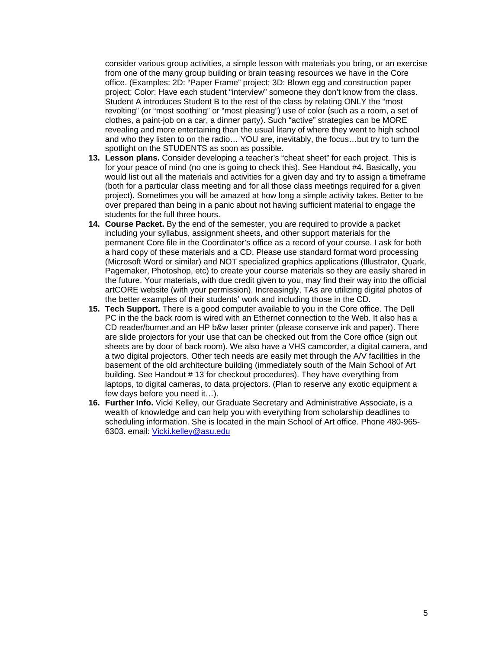consider various group activities, a simple lesson with materials you bring, or an exercise from one of the many group building or brain teasing resources we have in the Core office. (Examples: 2D: "Paper Frame" project; 3D: Blown egg and construction paper project; Color: Have each student "interview" someone they don't know from the class. Student A introduces Student B to the rest of the class by relating ONLY the "most revolting" (or "most soothing" or "most pleasing") use of color (such as a room, a set of clothes, a paint-job on a car, a dinner party). Such "active" strategies can be MORE revealing and more entertaining than the usual litany of where they went to high school and who they listen to on the radio… YOU are, inevitably, the focus…but try to turn the spotlight on the STUDENTS as soon as possible.

- **13. Lesson plans.** Consider developing a teacher's "cheat sheet" for each project. This is for your peace of mind (no one is going to check this). See Handout #4. Basically, you would list out all the materials and activities for a given day and try to assign a timeframe (both for a particular class meeting and for all those class meetings required for a given project). Sometimes you will be amazed at how long a simple activity takes. Better to be over prepared than being in a panic about not having sufficient material to engage the students for the full three hours.
- **14. Course Packet.** By the end of the semester, you are required to provide a packet including your syllabus, assignment sheets, and other support materials for the permanent Core file in the Coordinator's office as a record of your course. I ask for both a hard copy of these materials and a CD. Please use standard format word processing (Microsoft Word or similar) and NOT specialized graphics applications (Illustrator, Quark, Pagemaker, Photoshop, etc) to create your course materials so they are easily shared in the future. Your materials, with due credit given to you, may find their way into the official artCORE website (with your permission). Increasingly, TAs are utilizing digital photos of the better examples of their students' work and including those in the CD.
- **15. Tech Support.** There is a good computer available to you in the Core office. The Dell PC in the the back room is wired with an Ethernet connection to the Web. It also has a CD reader/burner.and an HP b&w laser printer (please conserve ink and paper). There are slide projectors for your use that can be checked out from the Core office (sign out sheets are by door of back room). We also have a VHS camcorder, a digital camera, and a two digital projectors. Other tech needs are easily met through the A/V facilities in the basement of the old architecture building (immediately south of the Main School of Art building. See Handout # 13 for checkout procedures). They have everything from laptops, to digital cameras, to data projectors. (Plan to reserve any exotic equipment a few days before you need it…).
- **16. Further Info.** Vicki Kelley, our Graduate Secretary and Administrative Associate, is a wealth of knowledge and can help you with everything from scholarship deadlines to scheduling information. She is located in the main School of Art office. Phone 480-965- 6303. email: [Vicki.kelley@asu.edu](mailto:Vicki.kelley@asu.edu)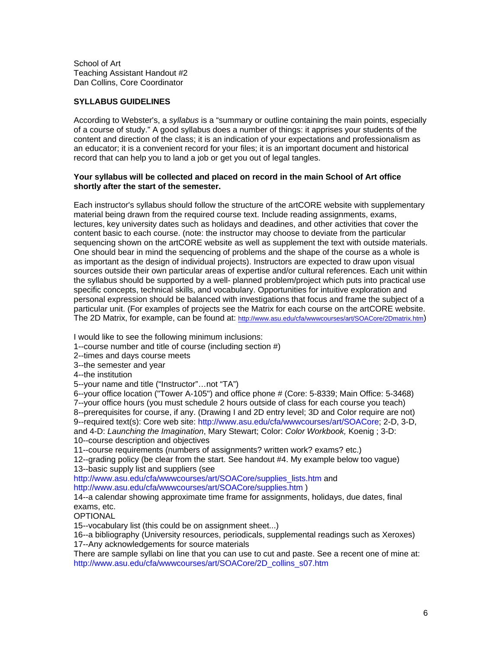School of Art Teaching Assistant Handout #2 Dan Collins, Core Coordinator

## **SYLLABUS GUIDELINES**

According to Webster's, a *syllabus* is a "summary or outline containing the main points, especially of a course of study." A good syllabus does a number of things: it apprises your students of the content and direction of the class; it is an indication of your expectations and professionalism as an educator; it is a convenient record for your files; it is an important document and historical record that can help you to land a job or get you out of legal tangles.

#### **Your syllabus will be collected and placed on record in the main School of Art office shortly after the start of the semester.**

Each instructor's syllabus should follow the structure of the artCORE website with supplementary material being drawn from the required course text. Include reading assignments, exams, lectures, key university dates such as holidays and deadines, and other activities that cover the content basic to each course. (note: the instructor may choose to deviate from the particular sequencing shown on the artCORE website as well as supplement the text with outside materials. One should bear in mind the sequencing of problems and the shape of the course as a whole is as important as the design of individual projects). Instructors are expected to draw upon visual sources outside their own particular areas of expertise and/or cultural references. Each unit within the syllabus should be supported by a well- planned problem/project which puts into practical use specific concepts, technical skills, and vocabulary. Opportunities for intuitive exploration and personal expression should be balanced with investigations that focus and frame the subject of a particular unit. (For examples of projects see the Matrix for each course on the artCORE website. The 2D Matrix, for example, can be found at: [http://www.asu.edu/cfa/wwwcourses/art/SOACore/2Dmatrix.htm\)](http://www.asu.edu/cfa/wwwcourses/art/SOACore/2Dmatrix.htm)

I would like to see the following minimum inclusions:

1--course number and title of course (including section #)

2--times and days course meets

3--the semester and year

4--the institution

5--your name and title ("Instructor"…not "TA")

6--your office location ("Tower A-105") and office phone # (Core: 5-8339; Main Office: 5-3468) 7--your office hours (you must schedule 2 hours outside of class for each course you teach) 8--prerequisites for course, if any. (Drawing I and 2D entry level; 3D and Color require are not) 9--required text(s): Core web site: http://www.asu.edu/cfa/wwwcourses/art/SOACore; 2-D, 3-D, and 4-D: *Launching the Imagination*, Mary Stewart; Color: *Color Workbook,* Koenig ; 3-D: 10--course description and objectives

11--course requirements (numbers of assignments? written work? exams? etc.)

12--grading policy (be clear from the start. See handout #4. My example below too vague)

13--basic supply list and suppliers (see

http://www.asu.edu/cfa/wwwcourses/art/SOACore/supplies\_lists.htm and http://www.asu.edu/cfa/wwwcourses/art/SOACore/supplies.htm )

14--a calendar showing approximate time frame for assignments, holidays, due dates, final exams, etc.

OPTIONAL

15--vocabulary list (this could be on assignment sheet...)

16--a bibliography (University resources, periodicals, supplemental readings such as Xeroxes) 17--Any acknowledgements for source materials

There are sample syllabi on line that you can use to cut and paste. See a recent one of mine at: http://www.asu.edu/cfa/wwwcourses/art/SOACore/2D\_collins\_s07.htm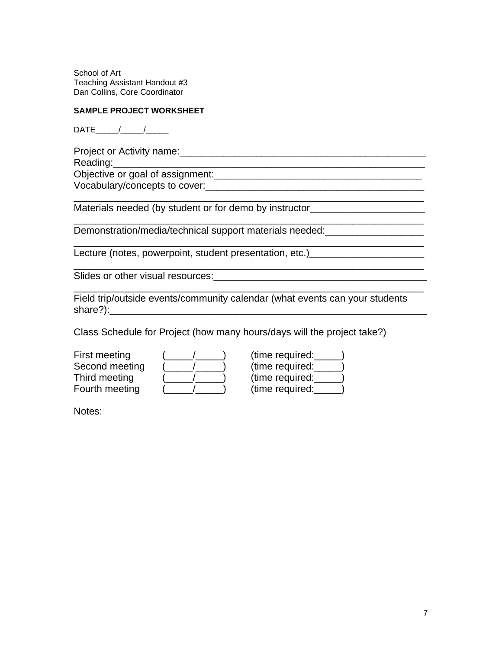School of Art Teaching Assistant Handout #3 Dan Collins, Core Coordinator

## **SAMPLE PROJECT WORKSHEET**

 $\mathsf{DATE}\_\_\_\_\_\_\_\_\_\_\_\$ 

Project or Activity name:\_\_\_\_\_\_\_\_\_\_\_\_\_\_\_\_\_\_\_\_\_\_\_\_\_\_\_\_\_\_\_\_\_\_\_\_\_\_\_\_\_\_\_\_\_ Reading: Objective or goal of assignment:\_\_\_\_\_\_\_\_\_\_\_\_\_\_\_\_\_\_\_\_\_\_\_\_\_\_\_\_\_\_\_\_\_\_\_\_\_\_

Vocabulary/concepts to cover:

Materials needed (by student or for demo by instructor\_\_\_\_\_\_\_\_\_\_\_\_\_\_\_\_\_\_\_\_\_\_\_\_\_\_

Demonstration/media/technical support materials needed:

Lecture (notes, powerpoint, student presentation, etc.)

Slides or other visual resources: example of the state of the state of the state of the state of the state of the state of the state of the state of the state of the state of the state of the state of the state of the stat

Field trip/outside events/community calendar (what events can your students share?):\_\_\_\_\_\_\_\_\_\_\_\_\_\_\_\_\_\_\_\_\_\_\_\_\_\_\_\_\_\_\_\_\_\_\_\_\_\_\_\_\_\_\_\_\_\_\_\_\_\_\_\_\_\_\_\_\_\_

\_\_\_\_\_\_\_\_\_\_\_\_\_\_\_\_\_\_\_\_\_\_\_\_\_\_\_\_\_\_\_\_\_\_\_\_\_\_\_\_\_\_\_\_\_\_\_\_\_\_\_\_\_\_\_\_\_\_\_\_\_\_\_\_

\_\_\_\_\_\_\_\_\_\_\_\_\_\_\_\_\_\_\_\_\_\_\_\_\_\_\_\_\_\_\_\_\_\_\_\_\_\_\_\_\_\_\_\_\_\_\_\_\_\_\_\_\_\_\_\_\_\_\_\_\_\_\_\_

\_\_\_\_\_\_\_\_\_\_\_\_\_\_\_\_\_\_\_\_\_\_\_\_\_\_\_\_\_\_\_\_\_\_\_\_\_\_\_\_\_\_\_\_\_\_\_\_\_\_\_\_\_\_\_\_\_\_\_\_\_\_\_\_

\_\_\_\_\_\_\_\_\_\_\_\_\_\_\_\_\_\_\_\_\_\_\_\_\_\_\_\_\_\_\_\_\_\_\_\_\_\_\_\_\_\_\_\_\_\_\_\_\_\_\_\_\_\_\_\_\_\_\_\_\_\_\_\_

Class Schedule for Project (how many hours/days will the project take?)

First meeting  $($   $/$   $)$  (time regular regular required: Second meeting  $($   $/$   $)$  ( Third meeting  $($   $/$   $)$  ( Fourth meeting  $($   $($   $/$   $($   $)$   $($ 

| (time required: |  |
|-----------------|--|
| (time required: |  |
| (time required: |  |
| (time required: |  |

\_\_\_\_\_\_\_\_\_\_\_\_\_\_\_\_\_\_\_\_\_\_\_\_\_\_\_\_\_\_\_\_\_\_\_\_\_\_\_\_\_\_\_\_\_\_\_\_\_\_\_\_\_\_\_\_\_\_\_\_\_\_\_\_

Notes: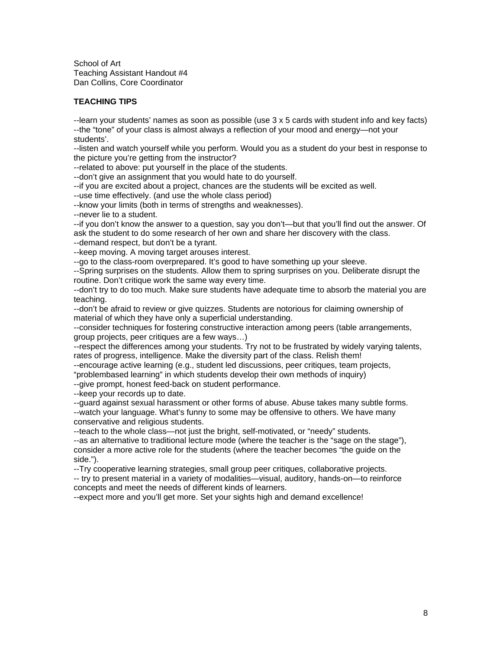School of Art Teaching Assistant Handout #4 Dan Collins, Core Coordinator

# **TEACHING TIPS**

--learn your students' names as soon as possible (use 3 x 5 cards with student info and key facts) --the "tone" of your class is almost always a reflection of your mood and energy—not your students'.

--listen and watch yourself while you perform. Would you as a student do your best in response to the picture you're getting from the instructor?

--related to above: put yourself in the place of the students.

--don't give an assignment that you would hate to do yourself.

--if you are excited about a project, chances are the students will be excited as well.

--use time effectively. (and use the whole class period)

--know your limits (both in terms of strengths and weaknesses).

--never lie to a student.

--if you don't know the answer to a question, say you don't—but that you'll find out the answer. Of ask the student to do some research of her own and share her discovery with the class. --demand respect, but don't be a tyrant.

--keep moving. A moving target arouses interest.

--go to the class-room overprepared. It's good to have something up your sleeve.

--Spring surprises on the students. Allow them to spring surprises on you. Deliberate disrupt the routine. Don't critique work the same way every time.

--don't try to do too much. Make sure students have adequate time to absorb the material you are teaching.

--don't be afraid to review or give quizzes. Students are notorious for claiming ownership of material of which they have only a superficial understanding.

--consider techniques for fostering constructive interaction among peers (table arrangements, group projects, peer critiques are a few ways…)

--respect the differences among your students. Try not to be frustrated by widely varying talents, rates of progress, intelligence. Make the diversity part of the class. Relish them!

--encourage active learning (e.g., student led discussions, peer critiques, team projects,

"problembased learning" in which students develop their own methods of inquiry)

--give prompt, honest feed-back on student performance.

--keep your records up to date.

--guard against sexual harassment or other forms of abuse. Abuse takes many subtle forms. --watch your language. What's funny to some may be offensive to others. We have many conservative and religious students.

--teach to the whole class—not just the bright, self-motivated, or "needy" students. --as an alternative to traditional lecture mode (where the teacher is the "sage on the stage"), consider a more active role for the students (where the teacher becomes "the guide on the side.").

--Try cooperative learning strategies, small group peer critiques, collaborative projects.

-- try to present material in a variety of modalities—visual, auditory, hands-on—to reinforce concepts and meet the needs of different kinds of learners.

--expect more and you'll get more. Set your sights high and demand excellence!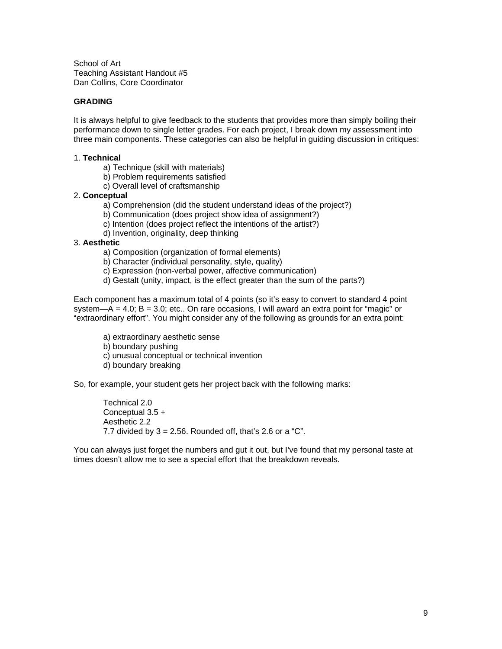School of Art Teaching Assistant Handout #5 Dan Collins, Core Coordinator

## **GRADING**

It is always helpful to give feedback to the students that provides more than simply boiling their performance down to single letter grades. For each project, I break down my assessment into three main components. These categories can also be helpful in guiding discussion in critiques:

#### 1. **Technical**

- a) Technique (skill with materials)
- b) Problem requirements satisfied
- c) Overall level of craftsmanship

#### 2. **Conceptual**

- a) Comprehension (did the student understand ideas of the project?)
- b) Communication (does project show idea of assignment?)
- c) Intention (does project reflect the intentions of the artist?)
- d) Invention, originality, deep thinking

#### 3. **Aesthetic**

- a) Composition (organization of formal elements)
- b) Character (individual personality, style, quality)
- c) Expression (non-verbal power, affective communication)
- d) Gestalt (unity, impact, is the effect greater than the sum of the parts?)

Each component has a maximum total of 4 points (so it's easy to convert to standard 4 point system—A = 4.0;  $B = 3.0$ ; etc.. On rare occasions, I will award an extra point for "magic" or "extraordinary effort". You might consider any of the following as grounds for an extra point:

a) extraordinary aesthetic sense b) boundary pushing c) unusual conceptual or technical invention d) boundary breaking

So, for example, your student gets her project back with the following marks:

Technical 2.0 Conceptual 3.5 + Aesthetic 2.2 7.7 divided by  $3 = 2.56$ . Rounded off, that's 2.6 or a "C".

You can always just forget the numbers and gut it out, but I've found that my personal taste at times doesn't allow me to see a special effort that the breakdown reveals.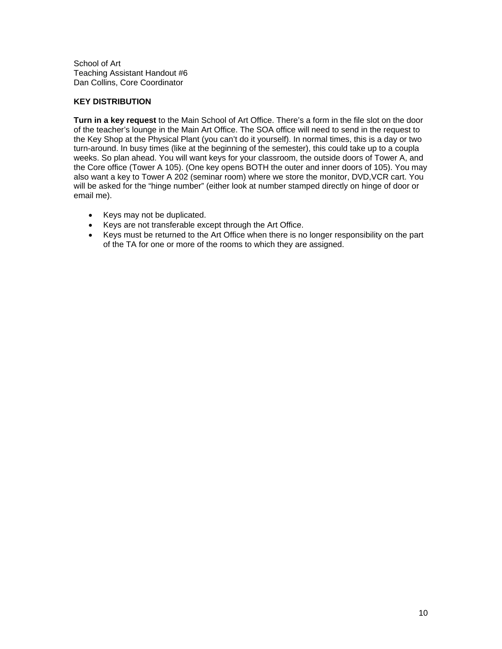School of Art Teaching Assistant Handout #6 Dan Collins, Core Coordinator

## **KEY DISTRIBUTION**

**Turn in a key request** to the Main School of Art Office. There's a form in the file slot on the door of the teacher's lounge in the Main Art Office. The SOA office will need to send in the request to the Key Shop at the Physical Plant (you can't do it yourself). In normal times, this is a day or two turn-around. In busy times (like at the beginning of the semester), this could take up to a coupla weeks. So plan ahead. You will want keys for your classroom, the outside doors of Tower A, and the Core office (Tower A 105). (One key opens BOTH the outer and inner doors of 105). You may also want a key to Tower A 202 (seminar room) where we store the monitor, DVD,VCR cart. You will be asked for the "hinge number" (either look at number stamped directly on hinge of door or email me).

- Keys may not be duplicated.
- Keys are not transferable except through the Art Office.
- Keys must be returned to the Art Office when there is no longer responsibility on the part of the TA for one or more of the rooms to which they are assigned.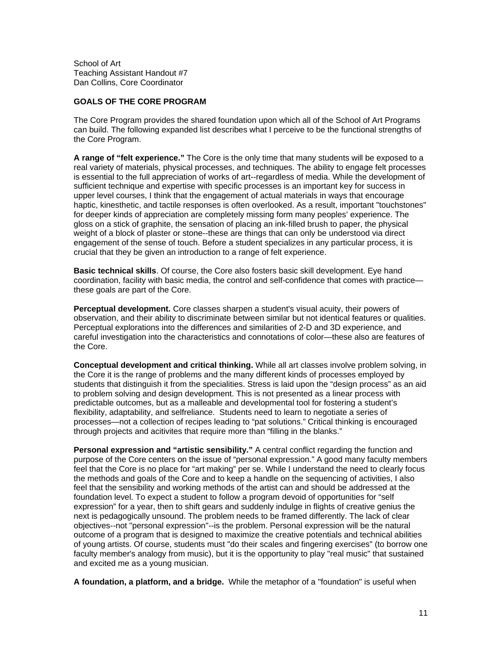School of Art Teaching Assistant Handout #7 Dan Collins, Core Coordinator

## **GOALS OF THE CORE PROGRAM**

The Core Program provides the shared foundation upon which all of the School of Art Programs can build. The following expanded list describes what I perceive to be the functional strengths of the Core Program.

**A range of "felt experience."** The Core is the only time that many students will be exposed to a real variety of materials, physical processes, and techniques. The ability to engage felt processes is essential to the full appreciation of works of art--regardless of media. While the development of sufficient technique and expertise with specific processes is an important key for success in upper level courses, I think that the engagement of actual materials in ways that encourage haptic, kinesthetic, and tactile responses is often overlooked. As a result, important "touchstones" for deeper kinds of appreciation are completely missing form many peoples' experience. The gloss on a stick of graphite, the sensation of placing an ink-filled brush to paper, the physical weight of a block of plaster or stone--these are things that can only be understood via direct engagement of the sense of touch. Before a student specializes in any particular process, it is crucial that they be given an introduction to a range of felt experience.

**Basic technical skills**. Of course, the Core also fosters basic skill development. Eye hand coordination, facility with basic media, the control and self-confidence that comes with practice these goals are part of the Core.

**Perceptual development.** Core classes sharpen a student's visual acuity, their powers of observation, and their ability to discriminate between similar but not identical features or qualities. Perceptual explorations into the differences and similarities of 2-D and 3D experience, and careful investigation into the characteristics and connotations of color—these also are features of the Core.

**Conceptual development and critical thinking.** While all art classes involve problem solving, in the Core it is the range of problems and the many different kinds of processes employed by students that distinguish it from the specialities. Stress is laid upon the "design process" as an aid to problem solving and design development. This is not presented as a linear process with predictable outcomes, but as a malleable and developmental tool for fostering a student's flexibility, adaptability, and selfreliance. Students need to learn to negotiate a series of processes—not a collection of recipes leading to "pat solutions." Critical thinking is encouraged through projects and acitivites that require more than "filling in the blanks."

**Personal expression and "artistic sensibility."** A central conflict regarding the function and purpose of the Core centers on the issue of "personal expression." A good many faculty members feel that the Core is no place for "art making" per se. While I understand the need to clearly focus the methods and goals of the Core and to keep a handle on the sequencing of activities, I also feel that the sensibility and working methods of the artist can and should be addressed at the foundation level. To expect a student to follow a program devoid of opportunities for "self expression" for a year, then to shift gears and suddenly indulge in flights of creative genius the next is pedagogically unsound. The problem needs to be framed differently. The lack of clear objectives--not "personal expression"--is the problem. Personal expression will be the natural outcome of a program that is designed to maximize the creative potentials and technical abilities of young artists. Of course, students must "do their scales and fingering exercises" (to borrow one faculty member's analogy from music), but it is the opportunity to play "real music" that sustained and excited me as a young musician.

**A foundation, a platform, and a bridge.** While the metaphor of a "foundation" is useful when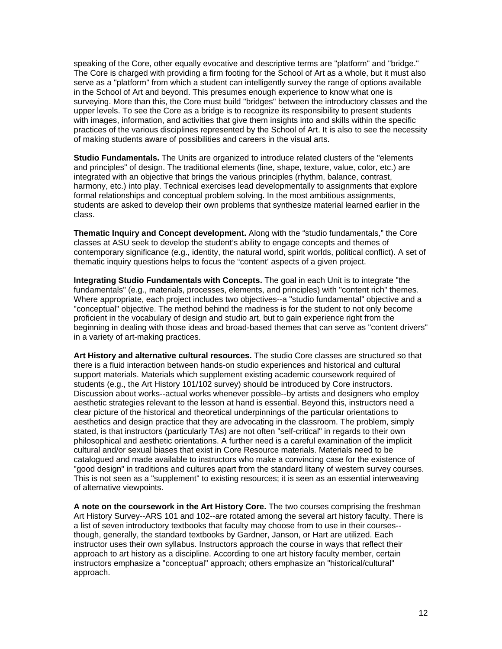speaking of the Core, other equally evocative and descriptive terms are "platform" and "bridge." The Core is charged with providing a firm footing for the School of Art as a whole, but it must also serve as a "platform" from which a student can intelligently survey the range of options available in the School of Art and beyond. This presumes enough experience to know what one is surveying. More than this, the Core must build "bridges" between the introductory classes and the upper levels. To see the Core as a bridge is to recognize its responsibility to present students with images, information, and activities that give them insights into and skills within the specific practices of the various disciplines represented by the School of Art. It is also to see the necessity of making students aware of possibilities and careers in the visual arts.

**Studio Fundamentals.** The Units are organized to introduce related clusters of the "elements and principles" of design. The traditional elements (line, shape, texture, value, color, etc.) are integrated with an objective that brings the various principles (rhythm, balance, contrast, harmony, etc.) into play. Technical exercises lead developmentally to assignments that explore formal relationships and conceptual problem solving. In the most ambitious assignments, students are asked to develop their own problems that synthesize material learned earlier in the class.

**Thematic Inquiry and Concept development.** Along with the "studio fundamentals," the Core classes at ASU seek to develop the student's ability to engage concepts and themes of contemporary significance (e.g., identity, the natural world, spirit worlds, political conflict). A set of thematic inquiry questions helps to focus the "content' aspects of a given project.

**Integrating Studio Fundamentals with Concepts.** The goal in each Unit is to integrate "the fundamentals" (e.g., materials, processes, elements, and principles) with "content rich" themes. Where appropriate, each project includes two objectives--a "studio fundamental" objective and a "conceptual" objective. The method behind the madness is for the student to not only become proficient in the vocabulary of design and studio art, but to gain experience right from the beginning in dealing with those ideas and broad-based themes that can serve as "content drivers" in a variety of art-making practices.

**Art History and alternative cultural resources.** The studio Core classes are structured so that there is a fluid interaction between hands-on studio experiences and historical and cultural support materials. Materials which supplement existing academic coursework required of students (e.g., the Art History 101/102 survey) should be introduced by Core instructors. Discussion about works--actual works whenever possible--by artists and designers who employ aesthetic strategies relevant to the lesson at hand is essential. Beyond this, instructors need a clear picture of the historical and theoretical underpinnings of the particular orientations to aesthetics and design practice that they are advocating in the classroom. The problem, simply stated, is that instructors (particularly TAs) are not often "self-critical" in regards to their own philosophical and aesthetic orientations. A further need is a careful examination of the implicit cultural and/or sexual biases that exist in Core Resource materials. Materials need to be catalogued and made available to instructors who make a convincing case for the existence of "good design" in traditions and cultures apart from the standard litany of western survey courses. This is not seen as a "supplement" to existing resources; it is seen as an essential interweaving of alternative viewpoints.

**A note on the coursework in the Art History Core.** The two courses comprising the freshman Art History Survey--ARS 101 and 102--are rotated among the several art history faculty. There is a list of seven introductory textbooks that faculty may choose from to use in their courses- though, generally, the standard textbooks by Gardner, Janson, or Hart are utilized. Each instructor uses their own syllabus. Instructors approach the course in ways that reflect their approach to art history as a discipline. According to one art history faculty member, certain instructors emphasize a "conceptual" approach; others emphasize an "historical/cultural" approach.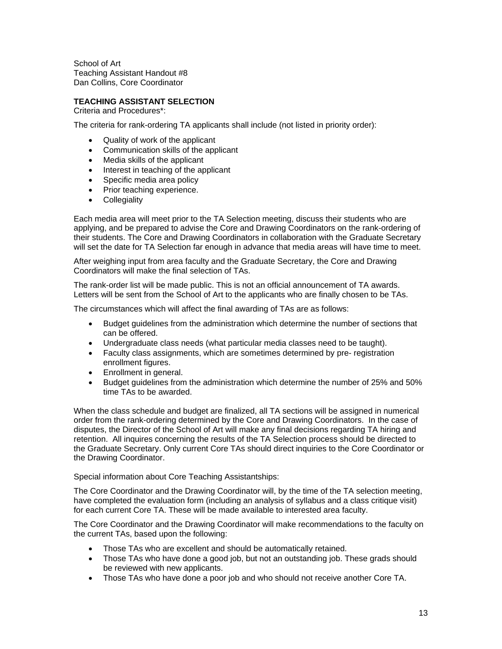School of Art Teaching Assistant Handout #8 Dan Collins, Core Coordinator

## **TEACHING ASSISTANT SELECTION**

Criteria and Procedures\*:

The criteria for rank-ordering TA applicants shall include (not listed in priority order):

- Quality of work of the applicant
- Communication skills of the applicant
- Media skills of the applicant
- Interest in teaching of the applicant
- Specific media area policy
- Prior teaching experience.
- Collegiality

Each media area will meet prior to the TA Selection meeting, discuss their students who are applying, and be prepared to advise the Core and Drawing Coordinators on the rank-ordering of their students. The Core and Drawing Coordinators in collaboration with the Graduate Secretary will set the date for TA Selection far enough in advance that media areas will have time to meet.

After weighing input from area faculty and the Graduate Secretary, the Core and Drawing Coordinators will make the final selection of TAs.

The rank-order list will be made public. This is not an official announcement of TA awards. Letters will be sent from the School of Art to the applicants who are finally chosen to be TAs.

The circumstances which will affect the final awarding of TAs are as follows:

- Budget guidelines from the administration which determine the number of sections that can be offered.
- Undergraduate class needs (what particular media classes need to be taught).
- Faculty class assignments, which are sometimes determined by pre- registration enrollment figures.
- Enrollment in general.
- Budget guidelines from the administration which determine the number of 25% and 50% time TAs to be awarded.

When the class schedule and budget are finalized, all TA sections will be assigned in numerical order from the rank-ordering determined by the Core and Drawing Coordinators. In the case of disputes, the Director of the School of Art will make any final decisions regarding TA hiring and retention. All inquires concerning the results of the TA Selection process should be directed to the Graduate Secretary. Only current Core TAs should direct inquiries to the Core Coordinator or the Drawing Coordinator.

Special information about Core Teaching Assistantships:

The Core Coordinator and the Drawing Coordinator will, by the time of the TA selection meeting, have completed the evaluation form (including an analysis of syllabus and a class critique visit) for each current Core TA. These will be made available to interested area faculty.

The Core Coordinator and the Drawing Coordinator will make recommendations to the faculty on the current TAs, based upon the following:

- Those TAs who are excellent and should be automatically retained.
- Those TAs who have done a good job, but not an outstanding job. These grads should be reviewed with new applicants.
- Those TAs who have done a poor job and who should not receive another Core TA.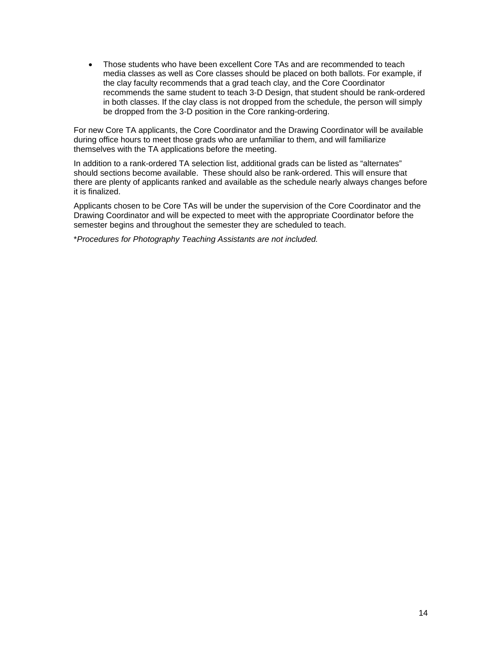• Those students who have been excellent Core TAs and are recommended to teach media classes as well as Core classes should be placed on both ballots. For example, if the clay faculty recommends that a grad teach clay, and the Core Coordinator recommends the same student to teach 3-D Design, that student should be rank-ordered in both classes. If the clay class is not dropped from the schedule, the person will simply be dropped from the 3-D position in the Core ranking-ordering.

For new Core TA applicants, the Core Coordinator and the Drawing Coordinator will be available during office hours to meet those grads who are unfamiliar to them, and will familiarize themselves with the TA applications before the meeting.

In addition to a rank-ordered TA selection list, additional grads can be listed as "alternates" should sections become available. These should also be rank-ordered. This will ensure that there are plenty of applicants ranked and available as the schedule nearly always changes before it is finalized.

Applicants chosen to be Core TAs will be under the supervision of the Core Coordinator and the Drawing Coordinator and will be expected to meet with the appropriate Coordinator before the semester begins and throughout the semester they are scheduled to teach.

\**Procedures for Photography Teaching Assistants are not included.*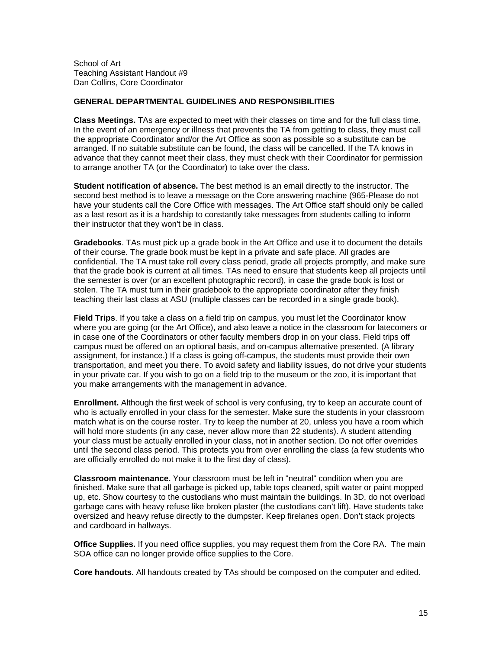School of Art Teaching Assistant Handout #9 Dan Collins, Core Coordinator

#### **GENERAL DEPARTMENTAL GUIDELINES AND RESPONSIBILITIES**

**Class Meetings.** TAs are expected to meet with their classes on time and for the full class time. In the event of an emergency or illness that prevents the TA from getting to class, they must call the appropriate Coordinator and/or the Art Office as soon as possible so a substitute can be arranged. If no suitable substitute can be found, the class will be cancelled. If the TA knows in advance that they cannot meet their class, they must check with their Coordinator for permission to arrange another TA (or the Coordinator) to take over the class.

**Student notification of absence.** The best method is an email directly to the instructor. The second best method is to leave a message on the Core answering machine (965-Please do not have your students call the Core Office with messages. The Art Office staff should only be called as a last resort as it is a hardship to constantly take messages from students calling to inform their instructor that they won't be in class.

**Gradebooks**. TAs must pick up a grade book in the Art Office and use it to document the details of their course. The grade book must be kept in a private and safe place. All grades are confidential. The TA must take roll every class period, grade all projects promptly, and make sure that the grade book is current at all times. TAs need to ensure that students keep all projects until the semester is over (or an excellent photographic record), in case the grade book is lost or stolen. The TA must turn in their gradebook to the appropriate coordinator after they finish teaching their last class at ASU (multiple classes can be recorded in a single grade book).

**Field Trips**. If you take a class on a field trip on campus, you must let the Coordinator know where you are going (or the Art Office), and also leave a notice in the classroom for latecomers or in case one of the Coordinators or other faculty members drop in on your class. Field trips off campus must be offered on an optional basis, and on-campus alternative presented. (A library assignment, for instance.) If a class is going off-campus, the students must provide their own transportation, and meet you there. To avoid safety and liability issues, do not drive your students in your private car. If you wish to go on a field trip to the museum or the zoo, it is important that you make arrangements with the management in advance.

**Enrollment.** Although the first week of school is very confusing, try to keep an accurate count of who is actually enrolled in your class for the semester. Make sure the students in your classroom match what is on the course roster. Try to keep the number at 20, unless you have a room which will hold more students (in any case, never allow more than 22 students). A student attending your class must be actually enrolled in your class, not in another section. Do not offer overrides until the second class period. This protects you from over enrolling the class (a few students who are officially enrolled do not make it to the first day of class).

**Classroom maintenance.** Your classroom must be left in "neutral" condition when you are finished. Make sure that all garbage is picked up, table tops cleaned, spilt water or paint mopped up, etc. Show courtesy to the custodians who must maintain the buildings. In 3D, do not overload garbage cans with heavy refuse like broken plaster (the custodians can't lift). Have students take oversized and heavy refuse directly to the dumpster. Keep firelanes open. Don't stack projects and cardboard in hallways.

**Office Supplies.** If you need office supplies, you may request them from the Core RA. The main SOA office can no longer provide office supplies to the Core.

**Core handouts.** All handouts created by TAs should be composed on the computer and edited.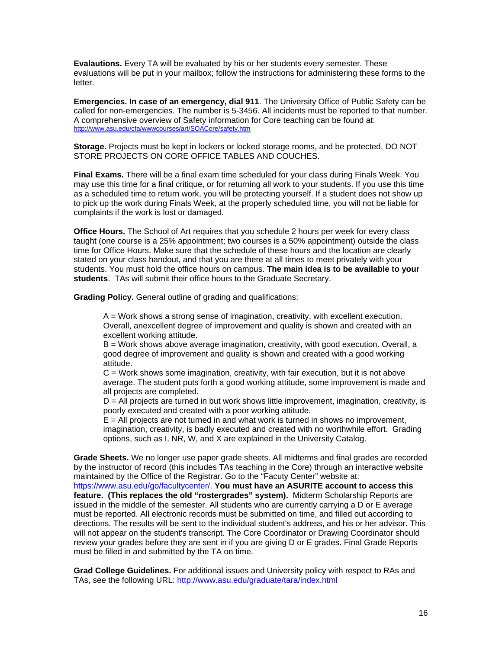**Evalautions.** Every TA will be evaluated by his or her students every semester. These evaluations will be put in your mailbox; follow the instructions for administering these forms to the letter.

**Emergencies. In case of an emergency, dial 911**. The University Office of Public Safety can be called for non-emergencies. The number is 5-3456. All incidents must be reported to that number. A comprehensive overview of Safety information for Core teaching can be found at: <http://www.asu.edu/cfa/wwwcourses/art/SOACore/safety.htm>

**Storage.** Projects must be kept in lockers or locked storage rooms, and be protected. DO NOT STORE PROJECTS ON CORE OFFICE TABLES AND COUCHES.

**Final Exams.** There will be a final exam time scheduled for your class during Finals Week. You may use this time for a final critique, or for returning all work to your students. If you use this time as a scheduled time to return work, you will be protecting yourself. If a student does not show up to pick up the work during Finals Week, at the properly scheduled time, you will not be liable for complaints if the work is lost or damaged.

**Office Hours.** The School of Art requires that you schedule 2 hours per week for every class taught (one course is a 25% appointment; two courses is a 50% appointment) outside the class time for Office Hours. Make sure that the schedule of these hours and the location are clearly stated on your class handout, and that you are there at all times to meet privately with your students. You must hold the office hours on campus. **The main idea is to be available to your students**. TAs will submit their office hours to the Graduate Secretary.

**Grading Policy.** General outline of grading and qualifications:

A = Work shows a strong sense of imagination, creativity, with excellent execution. Overall, anexcellent degree of improvement and quality is shown and created with an excellent working attitude.

B = Work shows above average imagination, creativity, with good execution. Overall, a good degree of improvement and quality is shown and created with a good working attitude.

 $C = Work$  shows some imagination, creativity, with fair execution, but it is not above average. The student puts forth a good working attitude, some improvement is made and all projects are completed.

D = All projects are turned in but work shows little improvement, imagination, creativity, is poorly executed and created with a poor working attitude.

 $E =$  All projects are not turned in and what work is turned in shows no improvement, imagination, creativity, is badly executed and created with no worthwhile effort. Grading options, such as I, NR, W, and X are explained in the University Catalog.

**Grade Sheets.** We no longer use paper grade sheets. All midterms and final grades are recorded by the instructor of record (this includes TAs teaching in the Core) through an interactive website maintained by the Office of the Registrar. Go to the "Facuty Center" website at:

https://www.asu.edu/go/facultycenter/. **You must have an ASURITE account to access this feature. (This replaces the old "rostergrades" system).** Midterm Scholarship Reports are issued in the middle of the semester. All students who are currently carrying a D or E average must be reported. All electronic records must be submitted on time, and filled out according to directions. The results will be sent to the individual student's address, and his or her advisor. This will not appear on the student's transcript. The Core Coordinator or Drawing Coordinator should review your grades before they are sent in if you are giving D or E grades. Final Grade Reports must be filled in and submitted by the TA on time.

**Grad College Guidelines.** For additional issues and University policy with respect to RAs and TAs, see the following URL: http://www.asu.edu/graduate/tara/index.html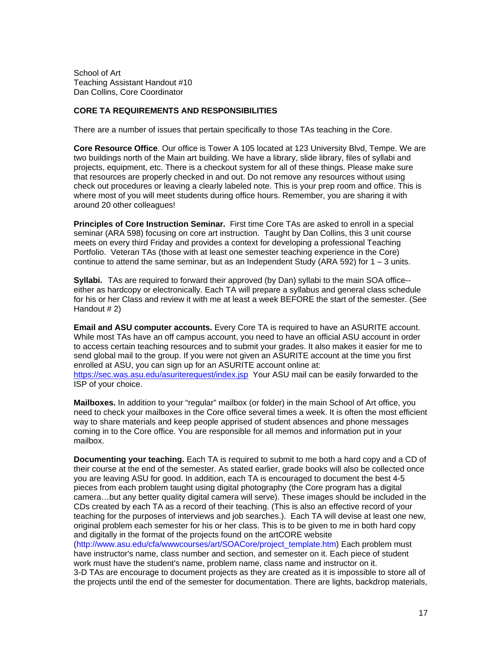School of Art Teaching Assistant Handout #10 Dan Collins, Core Coordinator

## **CORE TA REQUIREMENTS AND RESPONSIBILITIES**

There are a number of issues that pertain specifically to those TAs teaching in the Core.

**Core Resource Office**. Our office is Tower A 105 located at 123 University Blvd, Tempe. We are two buildings north of the Main art building. We have a library, slide library, files of syllabi and projects, equipment, etc. There is a checkout system for all of these things. Please make sure that resources are properly checked in and out. Do not remove any resources without using check out procedures or leaving a clearly labeled note. This is your prep room and office. This is where most of you will meet students during office hours. Remember, you are sharing it with around 20 other colleagues!

**Principles of Core Instruction Seminar.** First time Core TAs are asked to enroll in a special seminar (ARA 598) focusing on core art instruction. Taught by Dan Collins, this 3 unit course meets on every third Friday and provides a context for developing a professional Teaching Portfolio. Veteran TAs (those with at least one semester teaching experience in the Core) continue to attend the same seminar, but as an Independent Study (ARA 592) for  $1 - 3$  units.

**Syllabi.** TAs are required to forward their approved (by Dan) syllabi to the main SOA office- either as hardcopy or electronically. Each TA will prepare a syllabus and general class schedule for his or her Class and review it with me at least a week BEFORE the start of the semester. (See Handout # 2)

**Email and ASU computer accounts.** Every Core TA is required to have an ASURITE account. While most TAs have an off campus account, you need to have an official ASU account in order to access certain teaching resources and to submit your grades. It also makes it easier for me to send global mail to the group. If you were not given an ASURITE account at the time you first enrolled at ASU, you can sign up for an ASURITE account online at: <https://sec.was.asu.edu/asuriterequest/index.jsp>Your ASU mail can be easily forwarded to the ISP of your choice.

**Mailboxes.** In addition to your "regular" mailbox (or folder) in the main School of Art office, you need to check your mailboxes in the Core office several times a week. It is often the most efficient way to share materials and keep people apprised of student absences and phone messages coming in to the Core office. You are responsible for all memos and information put in your mailbox.

**Documenting your teaching.** Each TA is required to submit to me both a hard copy and a CD of their course at the end of the semester. As stated earlier, grade books will also be collected once you are leaving ASU for good. In addition, each TA is encouraged to document the best 4-5 pieces from each problem taught using digital photography (the Core program has a digital camera…but any better quality digital camera will serve). These images should be included in the CDs created by each TA as a record of their teaching. (This is also an effective record of your teaching for the purposes of interviews and job searches.). Each TA will devise at least one new, original problem each semester for his or her class. This is to be given to me in both hard copy and digitally in the format of the projects found on the artCORE website (http://www.asu.edu/cfa/wwwcourses/art/SOACore/project\_template.htm) Each problem must have instructor's name, class number and section, and semester on it. Each piece of student work must have the student's name, problem name, class name and instructor on it. 3-D TAs are encourage to document projects as they are created as it is impossible to store all of the projects until the end of the semester for documentation. There are lights, backdrop materials,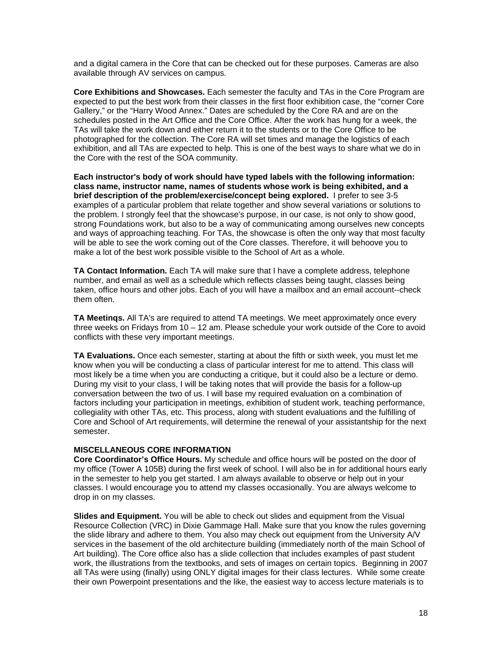and a digital camera in the Core that can be checked out for these purposes. Cameras are also available through AV services on campus.

**Core Exhibitions and Showcases.** Each semester the faculty and TAs in the Core Program are expected to put the best work from their classes in the first floor exhibition case, the "corner Core Gallery," or the "Harry Wood Annex." Dates are scheduled by the Core RA and are on the schedules posted in the Art Office and the Core Office. After the work has hung for a week, the TAs will take the work down and either return it to the students or to the Core Office to be photographed for the collection. The Core RA will set times and manage the logistics of each exhibition, and all TAs are expected to help. This is one of the best ways to share what we do in the Core with the rest of the SOA community.

**Each instructor's body of work should have typed labels with the following information: class name, instructor name, names of students whose work is being exhibited, and a brief description of the problem/exercise/concept being explored.** I prefer to see 3-5 examples of a particular problem that relate together and show several variations or solutions to the problem. I strongly feel that the showcase's purpose, in our case, is not only to show good, strong Foundations work, but also to be a way of communicating among ourselves new concepts and ways of approaching teaching. For TAs, the showcase is often the only way that most faculty will be able to see the work coming out of the Core classes. Therefore, it will behoove you to make a lot of the best work possible visible to the School of Art as a whole.

**TA Contact Information.** Each TA will make sure that I have a complete address, telephone number, and email as well as a schedule which reflects classes being taught, classes being taken, office hours and other jobs. Each of you will have a mailbox and an email account--check them often.

**TA Meetinqs.** All TA's are required to attend TA meetings. We meet approximately once every three weeks on Fridays from 10 – 12 am. Please schedule your work outside of the Core to avoid conflicts with these very important meetings.

**TA Evaluations.** Once each semester, starting at about the fifth or sixth week, you must let me know when you will be conducting a class of particular interest for me to attend. This class will most likely be a time when you are conducting a critique, but it could also be a lecture or demo. During my visit to your class, I will be taking notes that will provide the basis for a follow-up conversation between the two of us. I will base my required evaluation on a combination of factors including your participation in meetings, exhibition of student work, teaching performance, collegiality with other TAs, etc. This process, along with student evaluations and the fulfilling of Core and School of Art requirements, will determine the renewal of your assistantship for the next semester.

#### **MISCELLANEOUS CORE INFORMATION**

**Core Coordinator's Office Hours.** My schedule and office hours will be posted on the door of my office (Tower A 105B) during the first week of school. I will also be in for additional hours early in the semester to help you get started. I am always available to observe or help out in your classes. I would encourage you to attend my classes occasionally. You are always welcome to drop in on my classes.

**Slides and Equipment.** You will be able to check out slides and equipment from the Visual Resource Collection (VRC) in Dixie Gammage Hall. Make sure that you know the rules governing the slide library and adhere to them. You also may check out equipment from the University A/V services in the basement of the old architecture building (immediately north of the main School of Art building). The Core office also has a slide collection that includes examples of past student work, the illustrations from the textbooks, and sets of images on certain topics. Beginning in 2007 all TAs were using (finally) using ONLY digital images for their class lectures. While some create their own Powerpoint presentations and the like, the easiest way to access lecture materials is to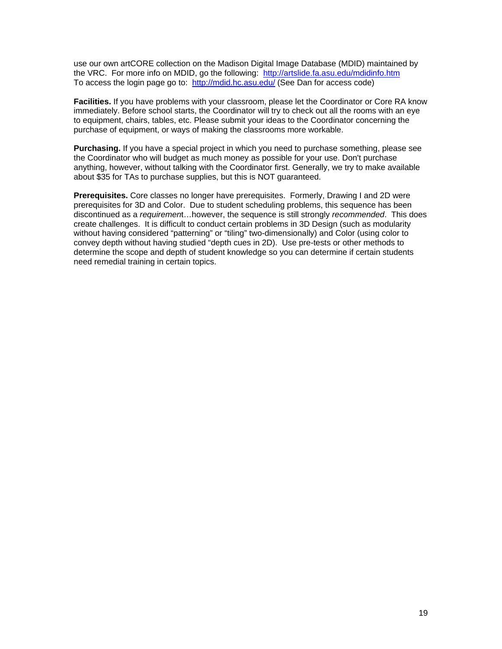use our own artCORE collection on the Madison Digital Image Database (MDID) maintained by the VRC. For more info on MDID, go the following: <http://artslide.fa.asu.edu/mdidinfo.htm> To access the login page go to: <http://mdid.hc.asu.edu/>(See Dan for access code)

**Facilities.** If you have problems with your classroom, please let the Coordinator or Core RA know immediately. Before school starts, the Coordinator will try to check out all the rooms with an eye to equipment, chairs, tables, etc. Please submit your ideas to the Coordinator concerning the purchase of equipment, or ways of making the classrooms more workable.

**Purchasing.** If you have a special project in which you need to purchase something, please see the Coordinator who will budget as much money as possible for your use. Don't purchase anything, however, without talking with the Coordinator first. Generally, we try to make available about \$35 for TAs to purchase supplies, but this is NOT guaranteed.

**Prerequisites.** Core classes no longer have prerequisites. Formerly, Drawing I and 2D were prerequisites for 3D and Color. Due to student scheduling problems, this sequence has been discontinued as a *requiremen*t…however, the sequence is still strongly *recommended*. This does create challenges. It is difficult to conduct certain problems in 3D Design (such as modularity without having considered "patterning" or "tiling" two-dimensionally) and Color (using color to convey depth without having studied "depth cues in 2D). Use pre-tests or other methods to determine the scope and depth of student knowledge so you can determine if certain students need remedial training in certain topics.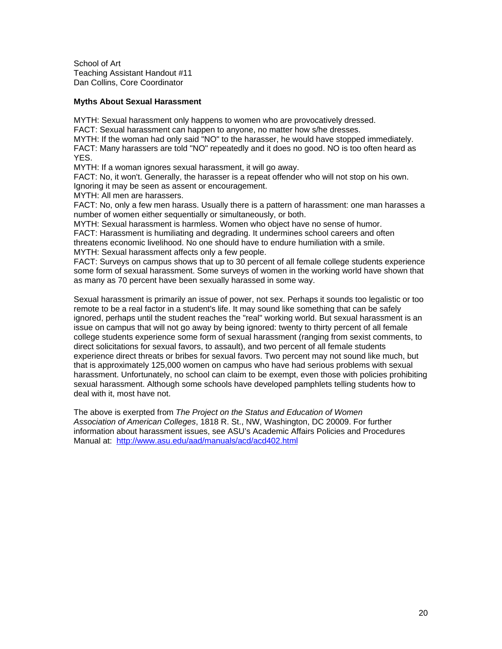School of Art Teaching Assistant Handout #11 Dan Collins, Core Coordinator

#### **Myths About Sexual Harassment**

MYTH: Sexual harassment only happens to women who are provocatively dressed.

FACT: Sexual harassment can happen to anyone, no matter how s/he dresses.

MYTH: If the woman had only said "NO" to the harasser, he would have stopped immediately. FACT: Many harassers are told "NO" repeatedly and it does no good. NO is too often heard as YES.

MYTH: If a woman ignores sexual harassment, it will go away.

FACT: No, it won't. Generally, the harasser is a repeat offender who will not stop on his own. Ignoring it may be seen as assent or encouragement.

MYTH: All men are harassers.

FACT: No, only a few men harass. Usually there is a pattern of harassment: one man harasses a number of women either sequentially or simultaneously, or both.

MYTH: Sexual harassment is harmless. Women who object have no sense of humor.

FACT: Harassment is humiliating and degrading. It undermines school careers and often threatens economic livelihood. No one should have to endure humiliation with a smile. MYTH: Sexual harassment affects only a few people.

FACT: Surveys on campus shows that up to 30 percent of all female college students experience some form of sexual harassment. Some surveys of women in the working world have shown that as many as 70 percent have been sexually harassed in some way.

Sexual harassment is primarily an issue of power, not sex. Perhaps it sounds too legalistic or too remote to be a real factor in a student's life. It may sound like something that can be safely ignored, perhaps until the student reaches the "real" working world. But sexual harassment is an issue on campus that will not go away by being ignored: twenty to thirty percent of all female college students experience some form of sexual harassment (ranging from sexist comments, to direct solicitations for sexual favors, to assault), and two percent of all female students experience direct threats or bribes for sexual favors. Two percent may not sound like much, but that is approximately 125,000 women on campus who have had serious problems with sexual harassment. Unfortunately, no school can claim to be exempt, even those with policies prohibiting sexual harassment. Although some schools have developed pamphlets telling students how to deal with it, most have not.

The above is exerpted from *The Project on the Status and Education of Women Association of American Colleges*, 1818 R. St., NW, Washington, DC 20009. For further information about harassment issues, see ASU's Academic Affairs Policies and Procedures Manual at: <http://www.asu.edu/aad/manuals/acd/acd402.html>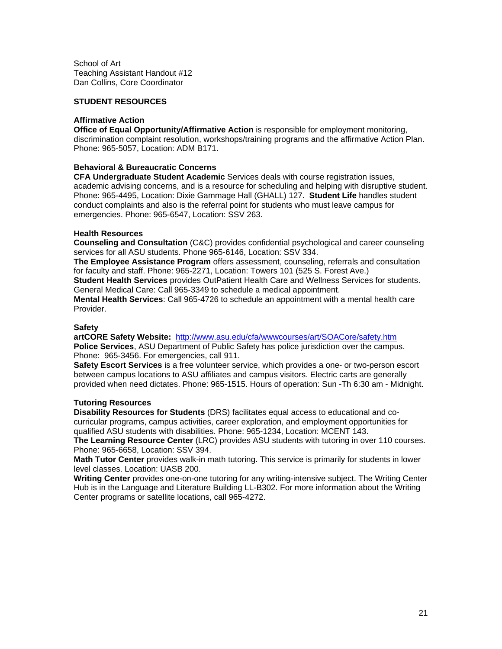School of Art Teaching Assistant Handout #12 Dan Collins, Core Coordinator

#### **STUDENT RESOURCES**

#### **Affirmative Action**

**Office of Equal Opportunity/Affirmative Action** is responsible for employment monitoring, discrimination complaint resolution, workshops/training programs and the affirmative Action Plan. Phone: 965-5057, Location: ADM B171.

## **Behavioral & Bureaucratic Concerns**

**CFA Undergraduate Student Academic** Services deals with course registration issues, academic advising concerns, and is a resource for scheduling and helping with disruptive student. Phone: 965-4495, Location: Dixie Gammage Hall (GHALL) 127. **Student Life** handles student conduct complaints and also is the referral point for students who must leave campus for emergencies. Phone: 965-6547, Location: SSV 263.

#### **Health Resources**

**Counseling and Consultation** (C&C) provides confidential psychological and career counseling services for all ASU students. Phone 965-6146, Location: SSV 334.

**The Employee Assistance Program** offers assessment, counseling, referrals and consultation for faculty and staff. Phone: 965-2271, Location: Towers 101 (525 S. Forest Ave.)

**Student Health Services** provides OutPatient Health Care and Wellness Services for students. General Medical Care: Call 965-3349 to schedule a medical appointment.

**Mental Health Services**: Call 965-4726 to schedule an appointment with a mental health care Provider.

#### **Safety**

**artCORE Safety Website:** <http://www.asu.edu/cfa/wwwcourses/art/SOACore/safety.htm> **Police Services**, ASU Department of Public Safety has police jurisdiction over the campus. Phone: 965-3456. For emergencies, call 911.

**Safety Escort Services** is a free volunteer service, which provides a one- or two-person escort between campus locations to ASU affiliates and campus visitors. Electric carts are generally provided when need dictates. Phone: 965-1515. Hours of operation: Sun -Th 6:30 am - Midnight.

#### **Tutoring Resources**

**Disability Resources for Students** (DRS) facilitates equal access to educational and cocurricular programs, campus activities, career exploration, and employment opportunities for qualified ASU students with disabilities. Phone: 965-1234, Location: MCENT 143.

**The Learning Resource Center** (LRC) provides ASU students with tutoring in over 110 courses. Phone: 965-6658, Location: SSV 394.

**Math Tutor Center** provides walk-in math tutoring. This service is primarily for students in lower level classes. Location: UASB 200.

**Writing Center** provides one-on-one tutoring for any writing-intensive subject. The Writing Center Hub is in the Language and Literature Building LL-B302. For more information about the Writing Center programs or satellite locations, call 965-4272.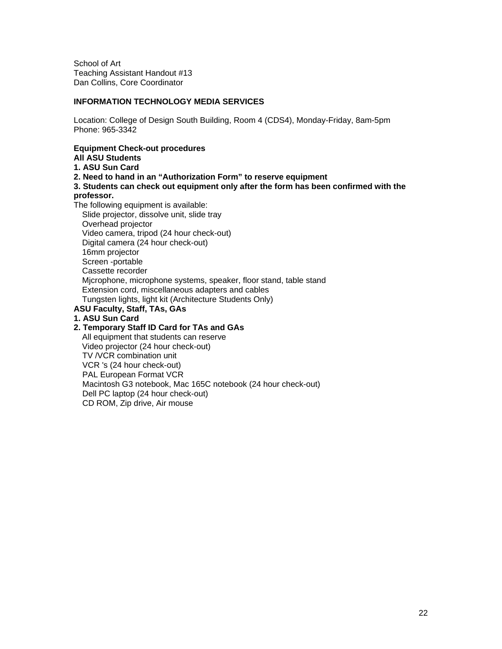School of Art Teaching Assistant Handout #13 Dan Collins, Core Coordinator

## **INFORMATION TECHNOLOGY MEDIA SERVICES**

Location: College of Design South Building, Room 4 (CDS4), Monday-Friday, 8am-5pm Phone: 965-3342

## **Equipment Check-out procedures**

## **All ASU Students**

- **1. ASU Sun Card**
- **2. Need to hand in an "Authorization Form" to reserve equipment**
- **3. Students can check out equipment only after the form has been confirmed with the professor.**
- The following equipment is available:

 Slide projector, dissolve unit, slide tray Overhead projector Video camera, tripod (24 hour check-out) Digital camera (24 hour check-out) 16mm projector Screen -portable Cassette recorder Mjcrophone, microphone systems, speaker, floor stand, table stand Extension cord, miscellaneous adapters and cables Tungsten lights, light kit (Architecture Students Only) **ASU Faculty, Staff, TAs, GAs** 

**1. ASU Sun Card** 

#### **2. Temporary Staff ID Card for TAs and GAs**

 All equipment that students can reserve Video projector (24 hour check-out) TV /VCR combination unit VCR 's (24 hour check-out) PAL European Format VCR Macintosh G3 notebook, Mac 165C notebook (24 hour check-out) Dell PC laptop (24 hour check-out) CD ROM, Zip drive, Air mouse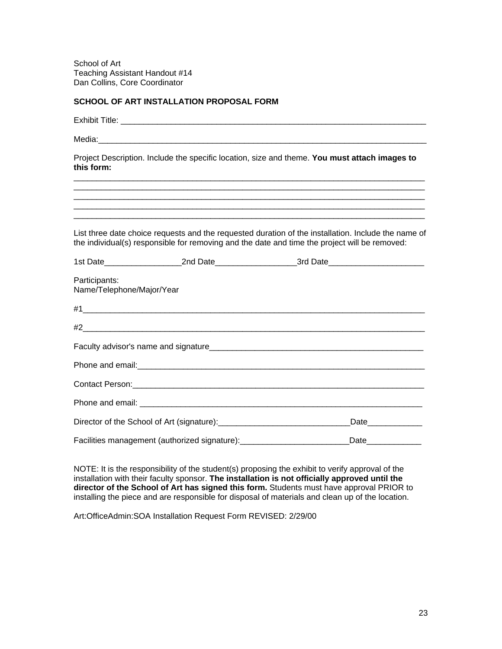School of Art Teaching Assistant Handout #14 Dan Collins, Core Coordinator

# **SCHOOL OF ART INSTALLATION PROPOSAL FORM**

| this form:                                 |                                                                                              | Project Description. Include the specific location, size and theme. You must attach images to                                                                                                                                       |  |
|--------------------------------------------|----------------------------------------------------------------------------------------------|-------------------------------------------------------------------------------------------------------------------------------------------------------------------------------------------------------------------------------------|--|
|                                            |                                                                                              | <u> 1989 - Johann Barn, mars ann an t-Amhainn an t-Amhainn an t-Amhainn an t-Amhainn an t-Amhainn an t-Amhainn an </u>                                                                                                              |  |
|                                            |                                                                                              | <u> 1989 - Johann Stoff, deutscher Stoff, der Stoff, der Stoff, der Stoff, der Stoff, der Stoff, der Stoff, der S</u>                                                                                                               |  |
|                                            |                                                                                              | List three date choice requests and the requested duration of the installation. Include the name of<br>the individual(s) responsible for removing and the date and time the project will be removed:                                |  |
|                                            |                                                                                              | 1st Date________________________2nd Date__________________________3rd Date_________________________                                                                                                                                 |  |
| Participants:<br>Name/Telephone/Major/Year |                                                                                              |                                                                                                                                                                                                                                     |  |
|                                            |                                                                                              |                                                                                                                                                                                                                                     |  |
|                                            |                                                                                              |                                                                                                                                                                                                                                     |  |
|                                            |                                                                                              | Faculty advisor's name and signature <b>Example 2018</b> The contract of the series of the contract of the contract of the contract of the contract of the contract of the contract of the contract of the contract of the contract |  |
|                                            |                                                                                              |                                                                                                                                                                                                                                     |  |
|                                            |                                                                                              |                                                                                                                                                                                                                                     |  |
|                                            |                                                                                              |                                                                                                                                                                                                                                     |  |
|                                            | Director of the School of Art (signature): [2010] Director of the School of Art (signature): | Date_____________                                                                                                                                                                                                                   |  |
|                                            | Facilities management (authorized signature):___________________________________             | Date_____________                                                                                                                                                                                                                   |  |

NOTE: It is the responsibility of the student(s) proposing the exhibit to verify approval of the installation with their faculty sponsor. **The installation is not officially approved until the director of the School of Art has signed this form.** Students must have approval PRIOR to installing the piece and are responsible for disposal of materials and clean up of the location.

Art:OfficeAdmin:SOA Installation Request Form REVISED: 2/29/00